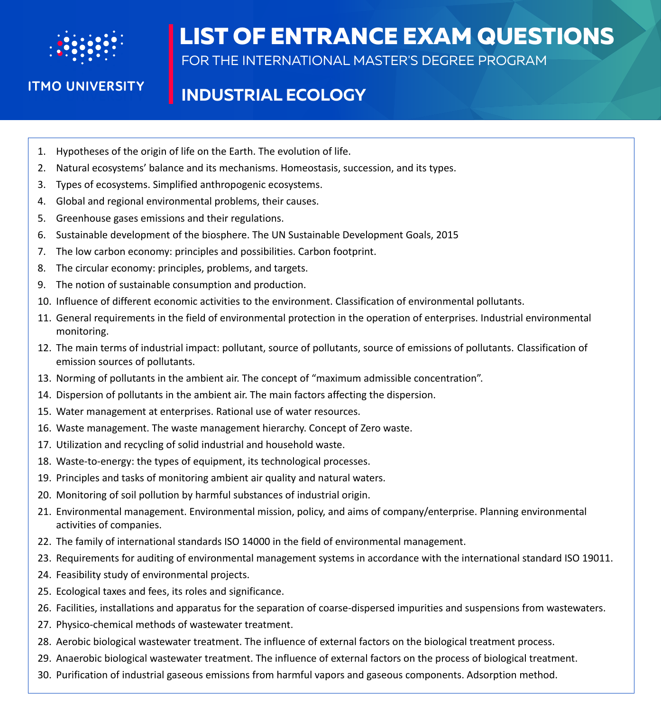

**ITMO UNIVERSITY** 

## **LIST OF ENTRANCE EXAM QUESTIONS**

FOR THE INTERNATIONAL MASTER'S DEGREE PROGRAM

## **INDUSTRIAL ECOLOGY**

- 1. Hypotheses of the origin of life on the Earth. The evolution of life.
- 2. Natural ecosystems' balance and its mechanisms. Homeostasis, succession, and its types.
- 3. Types of ecosystems. Simplified anthropogenic ecosystems.
- 4. Global and regional environmental problems, their causes.
- 5. Greenhouse gases emissions and their regulations.
- 6. Sustainable development of the biosphere. The UN Sustainable Development Goals, 2015
- 7. The low carbon economy: principles and possibilities. Carbon footprint.
- 8. The circular economy: principles, problems, and targets.
- 9. The notion of sustainable consumption and production.
- 10. Influence of different economic activities to the environment. Classification of environmental pollutants.
- 11. General requirements in the field of environmental protection in the operation of enterprises. Industrial environmental monitoring.
- 12. The main terms of industrial impact: pollutant, source of pollutants, source of emissions of pollutants. Classification of emission sources of pollutants.
- 13. Norming of pollutants in the ambient air. The concept of "maximum admissible concentration".
- 14. Dispersion of pollutants in the ambient air. The main factors affecting the dispersion.
- 15. Water management at enterprises. Rational use of water resources.
- 16. Waste management. The waste management hierarchy. Concept of Zero waste.
- 17. Utilization and recycling of solid industrial and household waste.
- 18. Waste-to-energy: the types of equipment, its technological processes.
- 19. Principles and tasks of monitoring ambient air quality and natural waters.
- 20. Monitoring of soil pollution by harmful substances of industrial origin.
- 21. Environmental management. Environmental mission, policy, and aims of company/enterprise. Planning environmental activities of companies.
- 22. The family оf international standards ISO 14000 in the field of environmental management.
- 23. Requirements for auditing of environmental management systems in accordance with the international standard ISO 19011.
- 24. Feasibility study of environmental projects.
- 25. Ecological taxes and fees, its roles and significance.
- 26. Facilities, installations and apparatus for the separation of coarse-dispersed impurities and suspensions from wastewaters.
- 27. Physico-chemical methods of wastewater treatment.
- 28. Aerobic biological wastewater treatment. The influence of external factors on the biological treatment process.
- 29. Anaerobic biological wastewater treatment. The influence of external factors on the process of biological treatment.
- 30. Purification of industrial gaseous emissions from harmful vapors and gaseous components. Adsorption method.